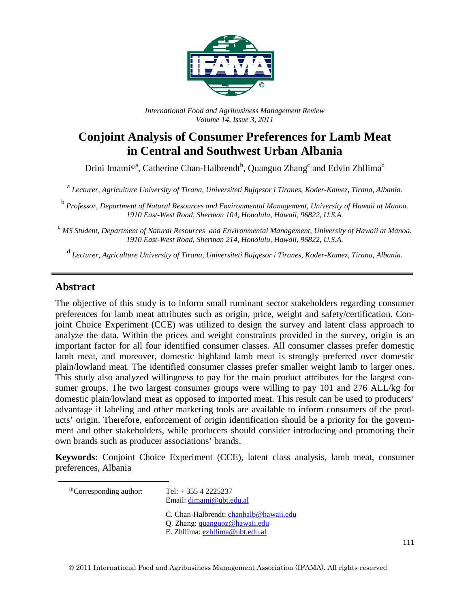

*International Food and Agribusiness Management Review Volume 14, Issue 3, 2011*

# **Conjoint Analysis of Consumer Preferences for Lamb Meat in Central and Southwest Urban Albania**

Drini Imami®<sup>a</sup>, Catherine Chan-Halbrendt<sup>b</sup>, Quanguo Zhang<sup>c</sup> and Edvin Zhllima<sup>d</sup>

<sup>a</sup> *Lecturer, Agriculture University of Tirana, Universiteti Bujqesor i Tiranes, Koder-Kamez, Tirana, Albania.*

<sup>b</sup> *Professor, Department of Natural Resources and Environmental Management, University of Hawaii at Manoa. 1910 East-West Road, Sherman 104, Honolulu, Hawaii, 96822, U.S.A.*

<sup>c</sup> *MS Student, Department of Natural Resources and Environmental Management, University of Hawaii at Manoa. 1910 East-West Road, Sherman 214, Honolulu, Hawaii, 96822, U.S.A.*

<sup>d</sup> *Lecturer, Agriculture University of Tirana, Universiteti Bujqesor i Tiranes, Koder-Kamez, Tirana, Albania.*

### **Abstract**

The objective of this study is to inform small ruminant sector stakeholders regarding consumer preferences for lamb meat attributes such as origin, price, weight and safety/certification. Conjoint Choice Experiment (CCE) was utilized to design the survey and latent class approach to analyze the data. Within the prices and weight constraints provided in the survey, origin is an important factor for all four identified consumer classes. All consumer classes prefer domestic lamb meat, and moreover, domestic highland lamb meat is strongly preferred over domestic plain/lowland meat. The identified consumer classes prefer smaller weight lamb to larger ones. This study also analyzed willingness to pay for the main product attributes for the largest consumer groups. The two largest consumer groups were willing to pay 101 and 276 ALL/kg for domestic plain/lowland meat as opposed to imported meat. This result can be used to producers' advantage if labeling and other marketing tools are available to inform consumers of the products' origin. Therefore, enforcement of origin identification should be a priority for the government and other stakeholders, while producers should consider introducing and promoting their own brands such as producer associations' brands.

**Keywords:** Conjoint Choice Experiment (CCE), latent class analysis, lamb meat, consumer preferences, Albania

<span id="page-0-0"></span> $^{\circ}$ Corresponding author: Tel: + 355 4 2225237

Email: [dimami@ubt.edu.al](mailto:dimami@ubt.edu.al)

C. Chan-Halbrendt: [chanhalb@hawaii.edu](mailto:chanhalb@hawaii.edu)

- Q. Zhang: [quanguoz@hawaii.edu](mailto:quanguoz@hawaii.edu)
- E. Zhllima: [ezhllima@ubt.edu.al](mailto:ezhllima@ubt.edu.al)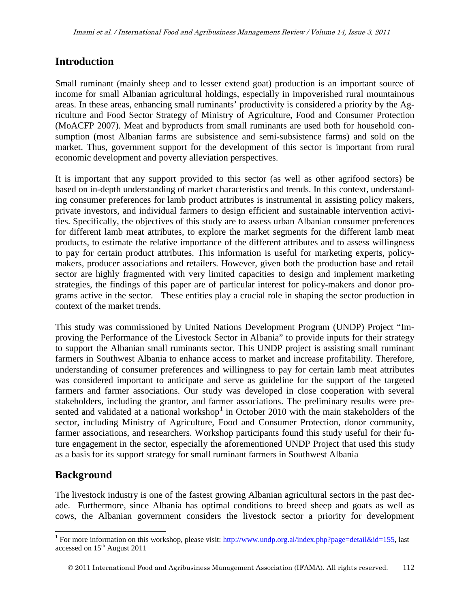### **Introduction**

Small ruminant (mainly sheep and to lesser extend goat) production is an important source of income for small Albanian agricultural holdings, especially in impoverished rural mountainous areas. In these areas, enhancing small ruminants' productivity is considered a priority by the Agriculture and Food Sector Strategy of Ministry of Agriculture, Food and Consumer Protection (MoACFP 2007). Meat and byproducts from small ruminants are used both for household consumption (most Albanian farms are subsistence and semi-subsistence farms) and sold on the market. Thus, government support for the development of this sector is important from rural economic development and poverty alleviation perspectives.

It is important that any support provided to this sector (as well as other agrifood sectors) be based on in-depth understanding of market characteristics and trends. In this context, understanding consumer preferences for lamb product attributes is instrumental in assisting policy makers, private investors, and individual farmers to design efficient and sustainable intervention activities. Specifically, the objectives of this study are to assess urban Albanian consumer preferences for different lamb meat attributes, to explore the market segments for the different lamb meat products, to estimate the relative importance of the different attributes and to assess willingness to pay for certain product attributes. This information is useful for marketing experts, policymakers, producer associations and retailers. However, given both the production base and retail sector are highly fragmented with very limited capacities to design and implement marketing strategies, the findings of this paper are of particular interest for policy-makers and donor programs active in the sector. These entities play a crucial role in shaping the sector production in context of the market trends.

This study was commissioned by United Nations Development Program (UNDP) Project "Improving the Performance of the Livestock Sector in Albania" to provide inputs for their strategy to support the Albanian small ruminants sector. This UNDP project is assisting small ruminant farmers in Southwest Albania to enhance access to market and increase profitability. Therefore, understanding of consumer preferences and willingness to pay for certain lamb meat attributes was considered important to anticipate and serve as guideline for the support of the targeted farmers and farmer associations. Our study was developed in close cooperation with several stakeholders, including the grantor, and farmer associations. The preliminary results were pre-sented and validated at a national workshop<sup>[1](#page-0-0)</sup> in October 2010 with the main stakeholders of the sector, including Ministry of Agriculture, Food and Consumer Protection, donor community, farmer associations, and researchers. Workshop participants found this study useful for their future engagement in the sector, especially the aforementioned UNDP Project that used this study as a basis for its support strategy for small ruminant farmers in Southwest Albania

### **Background**

The livestock industry is one of the fastest growing Albanian agricultural sectors in the past decade. Furthermore, since Albania has optimal conditions to breed sheep and goats as well as cows, the Albanian government considers the livestock sector a priority for development

<span id="page-1-0"></span><sup>&</sup>lt;sup>1</sup> For more information on this workshop, please visit: [http://www.undp.org.al/index.php?page=detail&id=155,](http://www.undp.org.al/index.php?page=detail&id=155) last accessed on 15<sup>th</sup> August 2011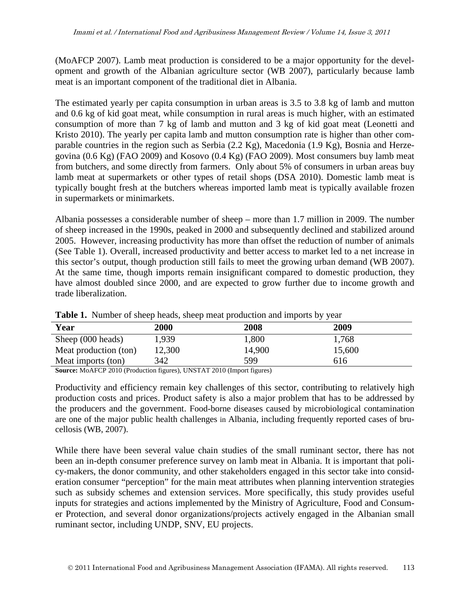(MoAFCP 2007). Lamb meat production is considered to be a major opportunity for the development and growth of the Albanian agriculture sector (WB 2007), particularly because lamb meat is an important component of the traditional diet in Albania.

The estimated yearly per capita consumption in urban areas is 3.5 to 3.8 kg of lamb and mutton and 0.6 kg of kid goat meat, while consumption in rural areas is much higher, with an estimated consumption of more than 7 kg of lamb and mutton and 3 kg of kid goat meat (Leonetti and Kristo 2010). The yearly per capita lamb and mutton consumption rate is higher than other comparable countries in the region such as Serbia (2.2 Kg), Macedonia (1.9 Kg), Bosnia and Herzegovina (0.6 Kg) (FAO 2009) and Kosovo (0.4 Kg) (FAO 2009). Most consumers buy lamb meat from butchers, and some directly from farmers. Only about 5% of consumers in urban areas buy lamb meat at supermarkets or other types of retail shops (DSA 2010). Domestic lamb meat is typically bought fresh at the butchers whereas imported lamb meat is typically available frozen in supermarkets or minimarkets.

Albania possesses a considerable number of sheep – more than 1.7 million in 2009. The number of sheep increased in the 1990s, peaked in 2000 and subsequently declined and stabilized around 2005. However, increasing productivity has more than offset the reduction of number of animals (See Table 1). Overall, increased productivity and better access to market led to a net increase in this sector's output, though production still fails to meet the growing urban demand (WB 2007). At the same time, though imports remain insignificant compared to domestic production, they have almost doubled since 2000, and are expected to grow further due to income growth and trade liberalization.

| <b>Thore I</b> . The most of shoop heads, shoop meat production and imports of fear |        |        |        |  |
|-------------------------------------------------------------------------------------|--------|--------|--------|--|
| Year                                                                                | 2000   | 2008   | 2009   |  |
| Sheep (000 heads)                                                                   | 1,939  | 1,800  | 1,768  |  |
| Meat production (ton)                                                               | 12,300 | 14,900 | 15,600 |  |
| Meat imports (ton)                                                                  | 342    | 599    | 616    |  |

**Table 1.** Number of sheep heads, sheep meat production and imports by year

**Source:** MoAFCP 2010 (Production figures), UNSTAT 2010 (Import figures)

Productivity and efficiency remain key challenges of this sector, contributing to relatively high production costs and prices. Product safety is also a major problem that has to be addressed by the producers and the government. Food-borne diseases caused by microbiological contamination are one of the major public health challenges in Albania, including frequently reported cases of brucellosis (WB, 2007).

While there have been several value chain studies of the small ruminant sector, there has not been an in-depth consumer preference survey on lamb meat in Albania. It is important that policy-makers, the donor community, and other stakeholders engaged in this sector take into consideration consumer "perception" for the main meat attributes when planning intervention strategies such as subsidy schemes and extension services. More specifically, this study provides useful inputs for strategies and actions implemented by the Ministry of Agriculture, Food and Consumer Protection, and several donor organizations/projects actively engaged in the Albanian small ruminant sector, including UNDP, SNV, EU projects.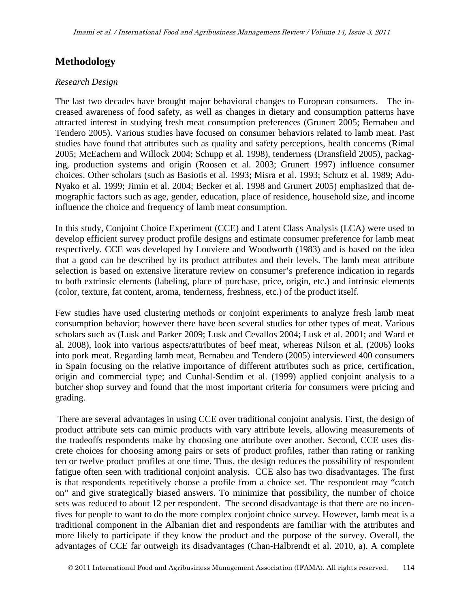## **Methodology**

#### *Research Design*

The last two decades have brought major behavioral changes to European consumers. The increased awareness of food safety, as well as changes in dietary and consumption patterns have attracted interest in studying fresh meat consumption preferences (Grunert 2005; Bernabeu and Tendero 2005). Various studies have focused on consumer behaviors related to lamb meat. Past studies have found that attributes such as quality and safety perceptions, health concerns (Rimal 2005; McEachern and Willock 2004; Schupp et al. 1998), tenderness (Dransfield 2005), packaging, production systems and origin (Roosen et al. 2003; Grunert 1997) influence consumer choices. Other scholars (such as Basiotis et al. 1993; Misra et al. 1993; Schutz et al. 1989; Adu-Nyako et al. 1999; Jimin et al. 2004; Becker et al. 1998 and Grunert 2005) emphasized that demographic factors such as age, gender, education, place of residence, household size, and income influence the choice and frequency of lamb meat consumption.

In this study, Conjoint Choice Experiment (CCE) and Latent Class Analysis (LCA) were used to develop efficient survey product profile designs and estimate consumer preference for lamb meat respectively. CCE was developed by Louviere and Woodworth (1983) and is based on the idea that a good can be described by its product attributes and their levels. The lamb meat attribute selection is based on extensive literature review on consumer's preference indication in regards to both extrinsic elements (labeling, place of purchase, price, origin, etc.) and intrinsic elements (color, texture, fat content, aroma, tenderness, freshness, etc.) of the product itself.

Few studies have used clustering methods or conjoint experiments to analyze fresh lamb meat consumption behavior; however there have been several studies for other types of meat. Various scholars such as (Lusk and Parker 2009; Lusk and Cevallos 2004; Lusk et al. 2001; and Ward et al. 2008), look into various aspects/attributes of beef meat, whereas Nilson et al. (2006) looks into pork meat. Regarding lamb meat, Bernabeu and Tendero (2005) interviewed 400 consumers in Spain focusing on the relative importance of different attributes such as price, certification, origin and commercial type; and Cunhal-Sendim et al. (1999) applied conjoint analysis to a butcher shop survey and found that the most important criteria for consumers were pricing and grading.

There are several advantages in using CCE over traditional conjoint analysis. First, the design of product attribute sets can mimic products with vary attribute levels, allowing measurements of the tradeoffs respondents make by choosing one attribute over another. Second, CCE uses discrete choices for choosing among pairs or sets of product profiles, rather than rating or ranking ten or twelve product profiles at one time. Thus, the design reduces the possibility of respondent fatigue often seen with traditional conjoint analysis. CCE also has two disadvantages. The first is that respondents repetitively choose a profile from a choice set. The respondent may "catch on" and give strategically biased answers. To minimize that possibility, the number of choice sets was reduced to about 12 per respondent. The second disadvantage is that there are no incentives for people to want to do the more complex conjoint choice survey. However, lamb meat is a traditional component in the Albanian diet and respondents are familiar with the attributes and more likely to participate if they know the product and the purpose of the survey. Overall, the advantages of CCE far outweigh its disadvantages (Chan-Halbrendt et al. 2010, a). A complete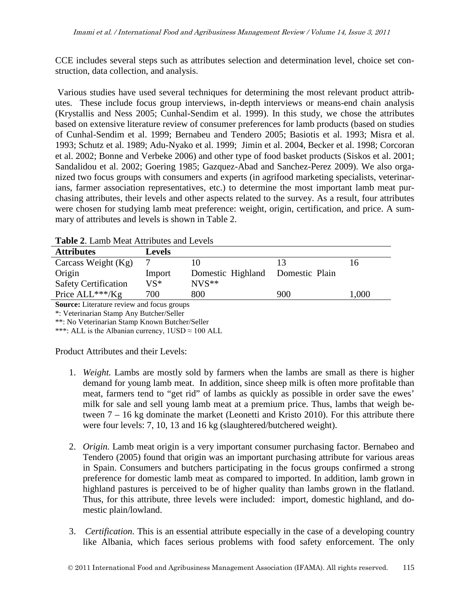CCE includes several steps such as attributes selection and determination level, choice set construction, data collection, and analysis.

Various studies have used several techniques for determining the most relevant product attributes. These include focus group interviews, in-depth interviews or means-end chain analysis (Krystallis and Ness 2005; Cunhal-Sendim et al. 1999). In this study, we chose the attributes based on extensive literature review of consumer preferences for lamb products (based on studies of Cunhal-Sendim et al. 1999; Bernabeu and Tendero 2005; Basiotis et al. 1993; Misra et al. 1993; Schutz et al. 1989; Adu-Nyako et al. 1999; Jimin et al. 2004, Becker et al. 1998; Corcoran et al. 2002; Bonne and Verbeke 2006) and other type of food basket products (Siskos et al. 2001; Sandalidou et al. 2002; Goering 1985; Gazquez-Abad and Sanchez-Perez 2009). We also organized two focus groups with consumers and experts (in agrifood marketing specialists, veterinarians, farmer association representatives, etc.) to determine the most important lamb meat purchasing attributes, their levels and other aspects related to the survey. As a result, four attributes were chosen for studying lamb meat preference: weight, origin, certification, and price. A summary of attributes and levels is shown in Table 2.

| <b>Attributes</b>           | Levels |                   |                |       |
|-----------------------------|--------|-------------------|----------------|-------|
| Carcass Weight $(Kg)$       |        |                   | 13             | 16    |
| Origin                      | Import | Domestic Highland | Domestic Plain |       |
| <b>Safety Certification</b> | VS*    | $NVS**$           |                |       |
| Price $ALL***/Kg$           | 700    | 800               | 900            | 1,000 |

**Table 2**. Lamb Meat Attributes and Levels

**Source:** Literature review and focus groups

\*: Veterinarian Stamp Any Butcher/Seller

\*\*: No Veterinarian Stamp Known Butcher/Seller

\*\*\*: ALL is the Albanian currency,  $1USD \approx 100$  ALL

Product Attributes and their Levels:

- 1. *Weight.* Lambs are mostly sold by farmers when the lambs are small as there is higher demand for young lamb meat. In addition, since sheep milk is often more profitable than meat, farmers tend to "get rid" of lambs as quickly as possible in order save the ewes' milk for sale and sell young lamb meat at a premium price. Thus, lambs that weigh between 7 – 16 kg dominate the market (Leonetti and Kristo 2010). For this attribute there were four levels: 7, 10, 13 and 16 kg (slaughtered/butchered weight).
- 2. *Origin.* Lamb meat origin is a very important consumer purchasing factor. Bernabeo and Tendero (2005) found that origin was an important purchasing attribute for various areas in Spain. Consumers and butchers participating in the focus groups confirmed a strong preference for domestic lamb meat as compared to imported. In addition, lamb grown in highland pastures is perceived to be of higher quality than lambs grown in the flatland. Thus, for this attribute, three levels were included: import, domestic highland, and domestic plain/lowland.
- 3. *Certification.* This is an essential attribute especially in the case of a developing country like Albania, which faces serious problems with food safety enforcement. The only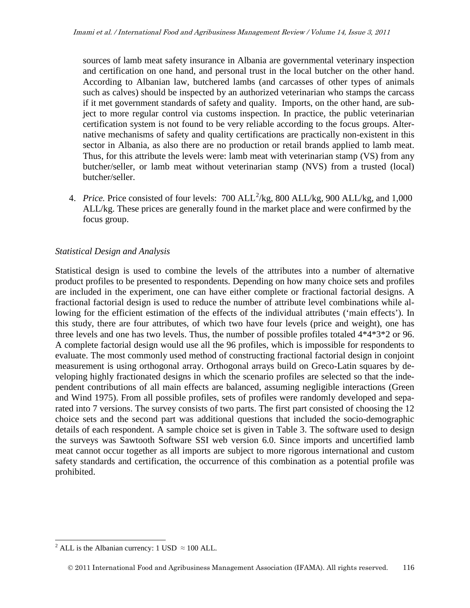sources of lamb meat safety insurance in Albania are governmental veterinary inspection and certification on one hand, and personal trust in the local butcher on the other hand. According to Albanian law, butchered lambs (and carcasses of other types of animals such as calves) should be inspected by an authorized veterinarian who stamps the carcass if it met government standards of safety and quality. Imports, on the other hand, are subject to more regular control via customs inspection. In practice, the public veterinarian certification system is not found to be very reliable according to the focus groups. Alternative mechanisms of safety and quality certifications are practically non-existent in this sector in Albania, as also there are no production or retail brands applied to lamb meat. Thus, for this attribute the levels were: lamb meat with veterinarian stamp (VS) from any butcher/seller, or lamb meat without veterinarian stamp (NVS) from a trusted (local) butcher/seller.

4. *Price*. Price consisted of four levels:  $700$   $ALL<sup>2</sup>/kg$  $ALL<sup>2</sup>/kg$  $ALL<sup>2</sup>/kg$ ,  $800$   $ALL/kg$ ,  $900$   $ALL/kg$ , and  $1,000$ ALL/kg. These prices are generally found in the market place and were confirmed by the focus group.

### *Statistical Design and Analysis*

Statistical design is used to combine the levels of the attributes into a number of alternative product profiles to be presented to respondents. Depending on how many choice sets and profiles are included in the experiment, one can have either complete or fractional factorial designs. A fractional factorial design is used to reduce the number of attribute level combinations while allowing for the efficient estimation of the effects of the individual attributes ('main effects'). In this study, there are four attributes, of which two have four levels (price and weight), one has three levels and one has two levels. Thus, the number of possible profiles totaled 4\*4\*3\*2 or 96. A complete factorial design would use all the 96 profiles, which is impossible for respondents to evaluate. The most commonly used method of constructing fractional factorial design in conjoint measurement is using orthogonal array. Orthogonal arrays build on Greco-Latin squares by developing highly fractionated designs in which the scenario profiles are selected so that the independent contributions of all main effects are balanced, assuming negligible interactions (Green and Wind 1975). From all possible profiles, sets of profiles were randomly developed and separated into 7 versions. The survey consists of two parts. The first part consisted of choosing the 12 choice sets and the second part was additional questions that included the socio-demographic details of each respondent. A sample choice set is given in Table 3. The software used to design the surveys was Sawtooth Software SSI web version 6.0. Since imports and uncertified lamb meat cannot occur together as all imports are subject to more rigorous international and custom safety standards and certification, the occurrence of this combination as a potential profile was prohibited.

<span id="page-5-0"></span><sup>&</sup>lt;sup>2</sup> ALL is the Albanian currency: 1 USD  $\approx$  100 ALL.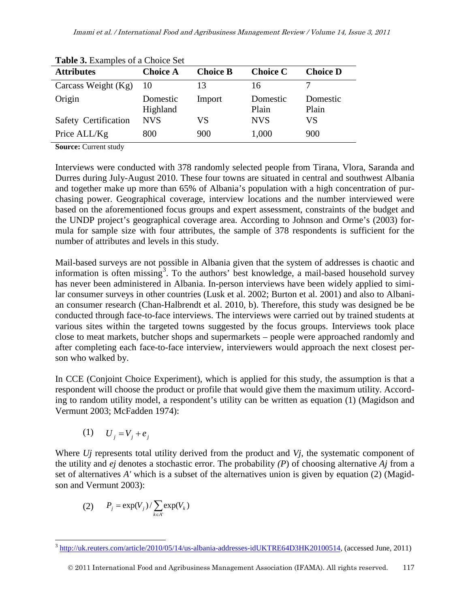| <b>rapic S.</b> Examples of a Choree Bet |                      |                 |                   |                   |  |
|------------------------------------------|----------------------|-----------------|-------------------|-------------------|--|
| <b>Attributes</b>                        | <b>Choice A</b>      | <b>Choice B</b> | <b>Choice C</b>   | <b>Choice D</b>   |  |
| Carcass Weight $(Kg)$                    | $\sqrt{10}$          | 13              | 16                |                   |  |
| Origin                                   | Domestic<br>Highland | Import          | Domestic<br>Plain | Domestic<br>Plain |  |
| Safety Certification                     | <b>NVS</b>           | VS              | <b>NVS</b>        | VS                |  |
| Price ALL/Kg                             | 800                  | 900             | 1,000             | 900               |  |

**Table 3.** Examples of a Choice Set

**Source:** Current study

Interviews were conducted with 378 randomly selected people from Tirana, Vlora, Saranda and Durres during July-August 2010. These four towns are situated in central and southwest Albania and together make up more than 65% of Albania's population with a high concentration of purchasing power. Geographical coverage, interview locations and the number interviewed were based on the aforementioned focus groups and expert assessment, constraints of the budget and the UNDP project's geographical coverage area. According to Johnson and Orme's (2003) formula for sample size with four attributes, the sample of 378 respondents is sufficient for the number of attributes and levels in this study.

Mail-based surveys are not possible in Albania given that the system of addresses is chaotic and information is often missing<sup>[3](#page-5-0)</sup>. To the authors' best knowledge, a mail-based household survey has never been administered in Albania. In-person interviews have been widely applied to similar consumer surveys in other countries (Lusk et al. 2002; Burton et al. 2001) and also to Albanian consumer research (Chan-Halbrendt et al. 2010, b). Therefore, this study was designed be be conducted through face-to-face interviews. The interviews were carried out by trained students at various sites within the targeted towns suggested by the focus groups. Interviews took place close to meat markets, butcher shops and supermarkets – people were approached randomly and after completing each face-to-face interview, interviewers would approach the next closest person who walked by.

In CCE (Conjoint Choice Experiment), which is applied for this study, the assumption is that a respondent will choose the product or profile that would give them the maximum utility. According to random utility model, a respondent's utility can be written as equation (1) (Magidson and Vermunt 2003; McFadden 1974):

$$
(1) \qquad U_j = V_j + e_j
$$

Where *Uj* represents total utility derived from the product and *Vj*, the systematic component of the utility and *ej* denotes a stochastic error. The probability *(P*) of choosing alternative *Aj* from a set of alternatives *A'* which is a subset of the alternatives union is given by equation (2) (Magidson and Vermunt 2003):

$$
(2) \qquad P_j = \exp(V_j) / \sum_{k \in A'} \exp(V_k)
$$

<span id="page-6-0"></span> <sup>3</sup> [http://uk.reuters.com/article/2010/05/14/us-albania-addresses-idUKTRE64D3HK20100514,](http://uk.reuters.com/article/2010/05/14/us-albania-addresses-idUKTRE64D3HK20100514) (accessed June, 2011)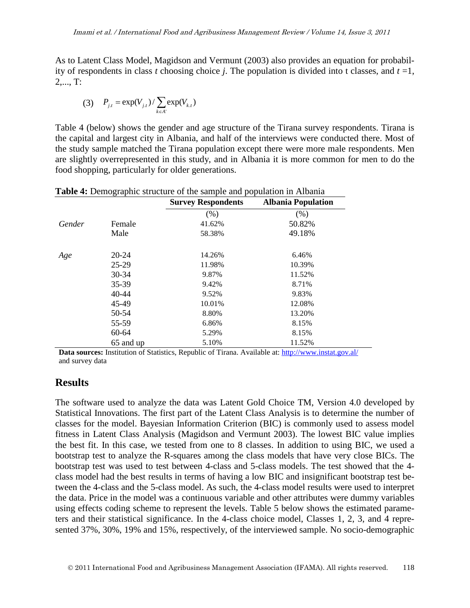As to Latent Class Model, Magidson and Vermunt (2003) also provides an equation for probability of respondents in class *t* choosing choice *j*. The population is divided into t classes, and  $t = 1$ , 2,..., T:

(3) 
$$
P_{j,t} = \exp(V_{j,t}) / \sum_{k \in A'} \exp(V_{k,t})
$$

Table 4 (below) shows the gender and age structure of the Tirana survey respondents. Tirana is the capital and largest city in Albania, and half of the interviews were conducted there. Most of the study sample matched the Tirana population except there were more male respondents. Men are slightly overrepresented in this study, and in Albania it is more common for men to do the food shopping, particularly for older generations.

|        |           | <b>Survey Respondents</b> | <b>Albania Population</b> |
|--------|-----------|---------------------------|---------------------------|
|        |           | (% )                      | (% )                      |
| Gender | Female    | 41.62%                    | 50.82%                    |
|        | Male      | 58.38%                    | 49.18%                    |
| Age    | 20-24     | 14.26%                    | 6.46%                     |
|        | 25-29     | 11.98%                    | 10.39%                    |
|        | 30-34     | 9.87%                     | 11.52%                    |
|        | 35-39     | 9.42%                     | 8.71%                     |
|        | $40 - 44$ | 9.52%                     | 9.83%                     |
|        | 45-49     | 10.01%                    | 12.08%                    |
|        | 50-54     | 8.80%                     | 13.20%                    |
|        | 55-59     | 6.86%                     | 8.15%                     |
|        | 60-64     | 5.29%                     | 8.15%                     |
|        | 65 and up | 5.10%                     | 11.52%                    |

**Table 4:** Demographic structure of the sample and population in Albania

**Data sources:** Institution of Statistics, Republic of Tirana. Available at:<http://www.instat.gov.al/> and survey data

### **Results**

The software used to analyze the data was Latent Gold Choice TM, Version 4.0 developed by Statistical Innovations. The first part of the Latent Class Analysis is to determine the number of classes for the model. Bayesian Information Criterion (BIC) is commonly used to assess model fitness in Latent Class Analysis (Magidson and Vermunt 2003). The lowest BIC value implies the best fit. In this case, we tested from one to 8 classes. In addition to using BIC, we used a bootstrap test to analyze the R-squares among the class models that have very close BICs. The bootstrap test was used to test between 4-class and 5-class models. The test showed that the 4 class model had the best results in terms of having a low BIC and insignificant bootstrap test between the 4-class and the 5-class model. As such, the 4-class model results were used to interpret the data. Price in the model was a continuous variable and other attributes were dummy variables using effects coding scheme to represent the levels. Table 5 below shows the estimated parameters and their statistical significance. In the 4-class choice model, Classes 1, 2, 3, and 4 represented 37%, 30%, 19% and 15%, respectively, of the interviewed sample. No socio-demographic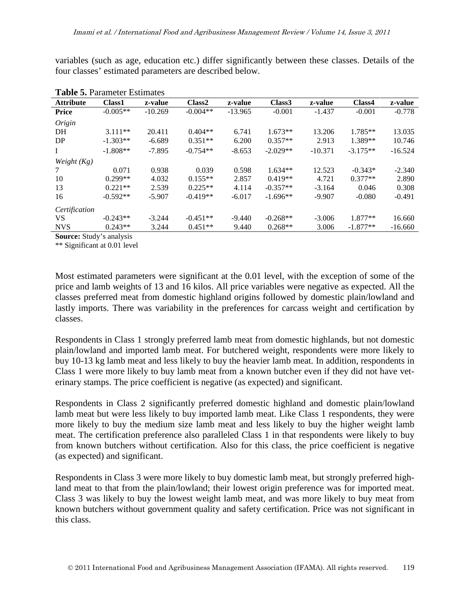variables (such as age, education etc.) differ significantly between these classes. Details of the four classes' estimated parameters are described below.

| <b>Table 9.</b> I didition Estimates |               |           |                    |           |                    |           |            |           |
|--------------------------------------|---------------|-----------|--------------------|-----------|--------------------|-----------|------------|-----------|
| <b>Attribute</b>                     | <b>Class1</b> | z-value   | Class <sub>2</sub> | z-value   | Class <sub>3</sub> | z-value   | Class4     | z-value   |
| <b>Price</b>                         | $-0.005**$    | $-10.269$ | $-0.004**$         | $-13.965$ | $-0.001$           | $-1.437$  | $-0.001$   | $-0.778$  |
| Origin                               |               |           |                    |           |                    |           |            |           |
| DH                                   | $3.111**$     | 20.411    | $0.404**$          | 6.741     | $1.673**$          | 13.206    | $1.785**$  | 13.035    |
| DP                                   | $-1.303**$    | $-6.689$  | $0.351**$          | 6.200     | $0.357**$          | 2.913     | 1.389**    | 10.746    |
| 1                                    | $-1.808**$    | $-7.895$  | $-0.754**$         | $-8.653$  | $-2.029**$         | $-10.371$ | $-3.175**$ | $-16.524$ |
| Weight $(Kg)$                        |               |           |                    |           |                    |           |            |           |
| 7                                    | 0.071         | 0.938     | 0.039              | 0.598     | $1.634**$          | 12.523    | $-0.343*$  | $-2.340$  |
| 10                                   | $0.299**$     | 4.032     | $0.155**$          | 2.857     | $0.419**$          | 4.721     | $0.377**$  | 2.890     |
| 13                                   | $0.221**$     | 2.539     | $0.225**$          | 4.114     | $-0.357**$         | $-3.164$  | 0.046      | 0.308     |
| 16                                   | $-0.592**$    | $-5.907$  | $-0.419**$         | $-6.017$  | $-1.696**$         | $-9.907$  | $-0.080$   | $-0.491$  |
| Certification                        |               |           |                    |           |                    |           |            |           |
| <b>VS</b>                            | $-0.243**$    | $-3.244$  | $-0.451**$         | $-9.440$  | $-0.268**$         | $-3.006$  | $1.877**$  | 16.660    |
| <b>NVS</b>                           | $0.243**$     | 3.244     | $0.451**$          | 9.440     | $0.268**$          | 3.006     | $-1.877**$ | $-16.660$ |
|                                      |               |           |                    |           |                    |           |            |           |

| <b>Table 5. Parameter Estimates</b> |  |
|-------------------------------------|--|
|                                     |  |

**Source:** Study's analysis

\*\* Significant at 0.01 level

Most estimated parameters were significant at the 0.01 level, with the exception of some of the price and lamb weights of 13 and 16 kilos. All price variables were negative as expected. All the classes preferred meat from domestic highland origins followed by domestic plain/lowland and lastly imports. There was variability in the preferences for carcass weight and certification by classes.

Respondents in Class 1 strongly preferred lamb meat from domestic highlands, but not domestic plain/lowland and imported lamb meat. For butchered weight, respondents were more likely to buy 10-13 kg lamb meat and less likely to buy the heavier lamb meat. In addition, respondents in Class 1 were more likely to buy lamb meat from a known butcher even if they did not have veterinary stamps. The price coefficient is negative (as expected) and significant.

Respondents in Class 2 significantly preferred domestic highland and domestic plain/lowland lamb meat but were less likely to buy imported lamb meat. Like Class 1 respondents, they were more likely to buy the medium size lamb meat and less likely to buy the higher weight lamb meat. The certification preference also paralleled Class 1 in that respondents were likely to buy from known butchers without certification. Also for this class, the price coefficient is negative (as expected) and significant.

Respondents in Class 3 were more likely to buy domestic lamb meat, but strongly preferred highland meat to that from the plain/lowland; their lowest origin preference was for imported meat. Class 3 was likely to buy the lowest weight lamb meat, and was more likely to buy meat from known butchers without government quality and safety certification. Price was not significant in this class.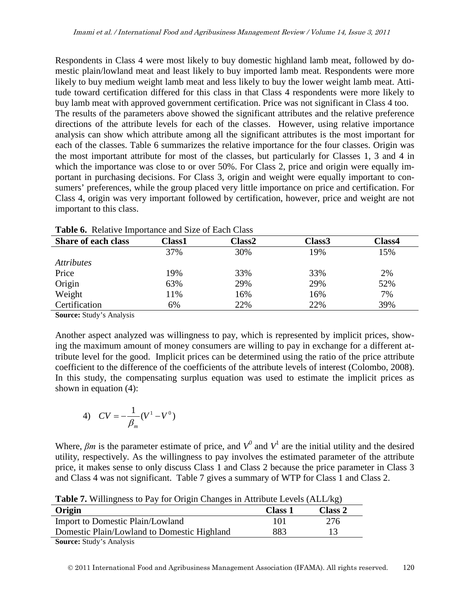Respondents in Class 4 were most likely to buy domestic highland lamb meat, followed by domestic plain/lowland meat and least likely to buy imported lamb meat. Respondents were more likely to buy medium weight lamb meat and less likely to buy the lower weight lamb meat. Attitude toward certification differed for this class in that Class 4 respondents were more likely to buy lamb meat with approved government certification. Price was not significant in Class 4 too. The results of the parameters above showed the significant attributes and the relative preference directions of the attribute levels for each of the classes. However, using relative importance analysis can show which attribute among all the significant attributes is the most important for each of the classes. Table 6 summarizes the relative importance for the four classes. Origin was the most important attribute for most of the classes, but particularly for Classes 1, 3 and 4 in which the importance was close to or over 50%. For Class 2, price and origin were equally important in purchasing decisions. For Class 3, origin and weight were equally important to consumers' preferences, while the group placed very little importance on price and certification. For Class 4, origin was very important followed by certification, however, price and weight are not important to this class.

| <b>Share of each class</b> | <b>Class1</b> | Class2 | Class3 | <b>Class4</b> |
|----------------------------|---------------|--------|--------|---------------|
|                            | 37%           | 30%    | 19%    | 15%           |
| <i>Attributes</i>          |               |        |        |               |
| Price                      | 19%           | 33%    | 33%    | 2%            |
| Origin                     | 63%           | 29%    | 29%    | 52%           |
| Weight                     | 11%           | 16%    | 16%    | 7%            |
| Certification              | 6%            | 22%    | 22%    | 39%           |

**Table 6.** Relative Importance and Size of Each Class

**Source:** Study's Analysis

Another aspect analyzed was willingness to pay, which is represented by implicit prices, showing the maximum amount of money consumers are willing to pay in exchange for a different attribute level for the good. Implicit prices can be determined using the ratio of the price attribute coefficient to the difference of the coefficients of the attribute levels of interest (Colombo, 2008). In this study, the compensating surplus equation was used to estimate the implicit prices as shown in equation (4):

4) 
$$
CV = -\frac{1}{\beta_m}(V^1 - V^0)
$$

Where,  $\beta m$  is the parameter estimate of price, and  $V^0$  and  $V^1$  are the initial utility and the desired utility, respectively. As the willingness to pay involves the estimated parameter of the attribute price, it makes sense to only discuss Class 1 and Class 2 because the price parameter in Class 3 and Class 4 was not significant. Table 7 gives a summary of WTP for Class 1 and Class 2.

**Origin Class 1 Class 2** Import to Domestic Plain/Lowland 101 276 Domestic Plain/Lowland to Domestic Highland 883 13

**Table 7.** Willingness to Pay for Origin Changes in Attribute Levels (ALL/kg)

**Source:** Study's Analysis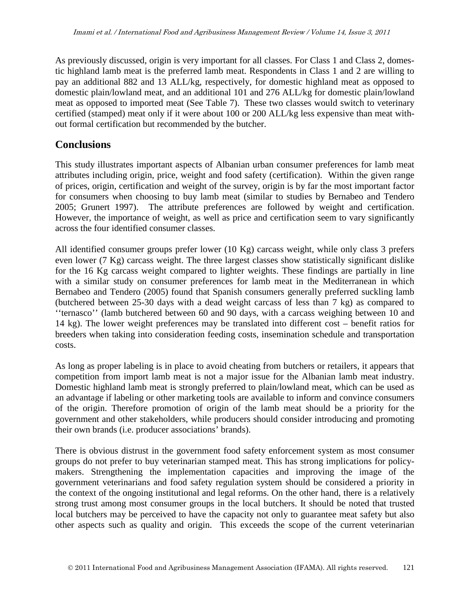As previously discussed, origin is very important for all classes. For Class 1 and Class 2, domestic highland lamb meat is the preferred lamb meat. Respondents in Class 1 and 2 are willing to pay an additional 882 and 13 ALL/kg, respectively, for domestic highland meat as opposed to domestic plain/lowland meat, and an additional 101 and 276 ALL/kg for domestic plain/lowland meat as opposed to imported meat (See Table 7). These two classes would switch to veterinary certified (stamped) meat only if it were about 100 or 200 ALL/kg less expensive than meat without formal certification but recommended by the butcher.

## **Conclusions**

This study illustrates important aspects of Albanian urban consumer preferences for lamb meat attributes including origin, price, weight and food safety (certification). Within the given range of prices, origin, certification and weight of the survey, origin is by far the most important factor for consumers when choosing to buy lamb meat (similar to studies by Bernabeo and Tendero 2005; Grunert 1997). The attribute preferences are followed by weight and certification. However, the importance of weight, as well as price and certification seem to vary significantly across the four identified consumer classes.

All identified consumer groups prefer lower (10 Kg) carcass weight, while only class 3 prefers even lower (7 Kg) carcass weight. The three largest classes show statistically significant dislike for the 16 Kg carcass weight compared to lighter weights. These findings are partially in line with a similar study on consumer preferences for lamb meat in the Mediterranean in which Bernabeo and Tendero (2005) found that Spanish consumers generally preferred suckling lamb (butchered between 25-30 days with a dead weight carcass of less than 7 kg) as compared to ''ternasco'' (lamb butchered between 60 and 90 days, with a carcass weighing between 10 and 14 kg). The lower weight preferences may be translated into different cost – benefit ratios for breeders when taking into consideration feeding costs, insemination schedule and transportation costs.

As long as proper labeling is in place to avoid cheating from butchers or retailers, it appears that competition from import lamb meat is not a major issue for the Albanian lamb meat industry. Domestic highland lamb meat is strongly preferred to plain/lowland meat, which can be used as an advantage if labeling or other marketing tools are available to inform and convince consumers of the origin. Therefore promotion of origin of the lamb meat should be a priority for the government and other stakeholders, while producers should consider introducing and promoting their own brands (i.e. producer associations' brands).

There is obvious distrust in the government food safety enforcement system as most consumer groups do not prefer to buy veterinarian stamped meat. This has strong implications for policymakers. Strengthening the implementation capacities and improving the image of the government veterinarians and food safety regulation system should be considered a priority in the context of the ongoing institutional and legal reforms. On the other hand, there is a relatively strong trust among most consumer groups in the local butchers. It should be noted that trusted local butchers may be perceived to have the capacity not only to guarantee meat safety but also other aspects such as quality and origin. This exceeds the scope of the current veterinarian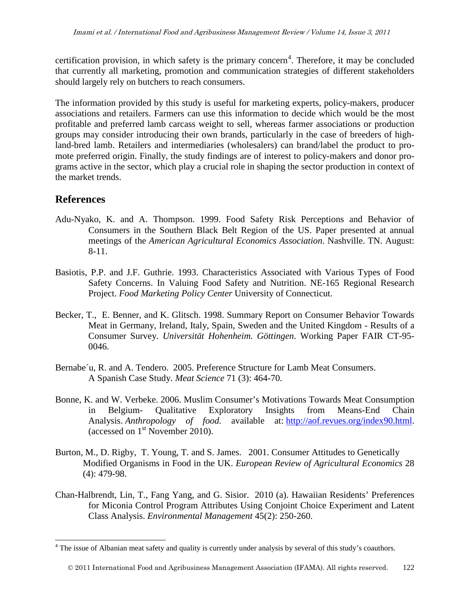certification provision, in which safety is the primary concern<sup>[4](#page-6-0)</sup>. Therefore, it may be concluded that currently all marketing, promotion and communication strategies of different stakeholders should largely rely on butchers to reach consumers.

The information provided by this study is useful for marketing experts, policy-makers, producer associations and retailers. Farmers can use this information to decide which would be the most profitable and preferred lamb carcass weight to sell, whereas farmer associations or production groups may consider introducing their own brands, particularly in the case of breeders of highland-bred lamb. Retailers and intermediaries (wholesalers) can brand/label the product to promote preferred origin. Finally, the study findings are of interest to policy-makers and donor programs active in the sector, which play a crucial role in shaping the sector production in context of the market trends.

# **References**

- Adu-Nyako, K. and A. Thompson. 1999. Food Safety Risk Perceptions and Behavior of Consumers in the Southern Black Belt Region of the US. Paper presented at annual meetings of the *American Agricultural Economics Association*. Nashville. TN. August: 8-11.
- Basiotis, P.P. and J.F. Guthrie. 1993. Characteristics Associated with Various Types of Food Safety Concerns. In Valuing Food Safety and Nutrition. NE-165 Regional Research Project. *Food Marketing Policy Center* University of Connecticut.
- Becker, T., E. Benner, and K. Glitsch. 1998. Summary Report on Consumer Behavior Towards Meat in Germany, Ireland, Italy, Spain, Sweden and the United Kingdom - Results of a Consumer Survey. *Universität Hohenheim. Göttingen*. Working Paper FAIR CT-95- 0046.
- Bernabe´u, R. and A. Tendero. 2005. Preference Structure for Lamb Meat Consumers. A Spanish Case Study. *Meat Science* 71 (3): 464-70.
- Bonne, K. and W. Verbeke. 2006. Muslim Consumer's Motivations Towards Meat Consumption in Belgium- Qualitative Exploratory Insights from Means-End Chain Analysis. *Anthropology of food.* available at: [http://aof.revues.org/index90.html.](http://aof.revues.org/index90.html) (accessed on  $1<sup>st</sup>$  November 2010).
- Burton, M., D. Rigby, T. Young, T. and S. James. 2001. Consumer Attitudes to Genetically Modified Organisms in Food in the UK. *European Review of Agricultural Economics* 28 (4): 479-98.
- Chan-Halbrendt, Lin, T., Fang Yang, and G. Sisior. 2010 (a). Hawaiian Residents' Preferences for Miconia Control Program Attributes Using Conjoint Choice Experiment and Latent Class Analysis. *Environmental Management* 45(2): 250-260.

<sup>&</sup>lt;sup>4</sup> The issue of Albanian meat safety and quality is currently under analysis by several of this study's coauthors.

2011 International Food and Agribusiness Management Association (IFAMA). All rights reserved. 122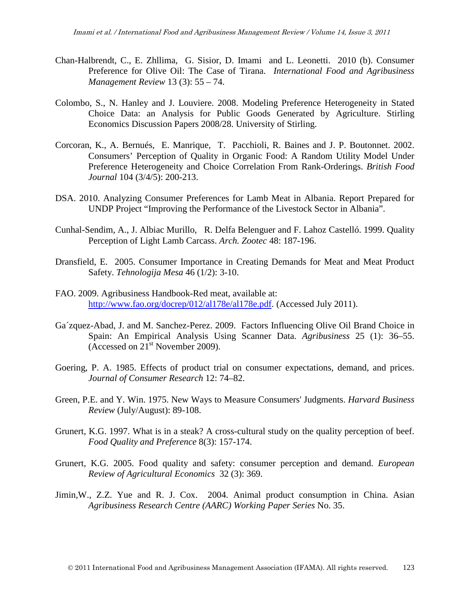- Chan-Halbrendt, C., E. Zhllima, G. Sisior, D. Imami and L. Leonetti. 2010 (b). Consumer Preference for Olive Oil: The Case of Tirana. *International Food and Agribusiness Management Review* 13 (3): 55 – 74.
- Colombo, S., N. Hanley and J. Louviere. 2008. Modeling Preference Heterogeneity in Stated Choice Data: an Analysis for Public Goods Generated by Agriculture. Stirling Economics Discussion Papers 2008/28. University of Stirling.
- Corcoran, K., A. Bernués, E. Manrique, T. Pacchioli, R. Baines and J. P. Boutonnet. 2002. Consumers' Perception of Quality in Organic Food: A Random Utility Model Under Preference Heterogeneity and Choice Correlation From Rank-Orderings. *British Food Journal* 104 (3/4/5): 200-213.
- DSA. 2010. Analyzing Consumer Preferences for Lamb Meat in Albania. Report Prepared for UNDP Project "Improving the Performance of the Livestock Sector in Albania".
- Cunhal-Sendim, A., J. Albiac Murillo, R. Delfa Belenguer and F. Lahoz Castelló. 1999. Quality Perception of Light Lamb Carcass. *Arch. Zootec* 48: 187-196.
- Dransfield, E. 2005. Consumer Importance in Creating Demands for Meat and Meat Product Safety. *Tehnologija Mesa* 46 (1/2): 3-10.
- FAO. 2009. Agribusiness Handbook-Red meat, available at: [http://www.fao.org/docrep/012/al178e/al178e.pdf.](http://www.fao.org/docrep/012/al178e/al178e.pdf) (Accessed July 2011).
- Ga´zquez-Abad, J. and M. Sanchez-Perez. 2009. Factors Influencing Olive Oil Brand Choice in Spain: An Empirical Analysis Using Scanner Data. *Agribusiness* 25 (1): 36–55. (Accessed on  $21<sup>st</sup>$  November 2009).
- Goering, P. A. 1985. Effects of product trial on consumer expectations, demand, and prices. *Journal of Consumer Research* 12: 74–82.
- Green, P.E. and Y. Win. 1975. New Ways to Measure Consumers' Judgments. *Harvard Business Review* (July/August): 89-108.
- Grunert, K.G. 1997. What is in a steak? A cross-cultural study on the quality perception of beef. *Food Quality and Preference* 8(3): 157-174.
- Grunert, K.G. 2005. Food quality and safety: consumer perception and demand. *European Review of Agricultural Economics* 32 (3): 369.
- Jimin,W., Z.Z. Yue and R. J. Cox. 2004. Animal product consumption in China. Asian *Agribusiness Research Centre (AARC) Working Paper Series* No. 35.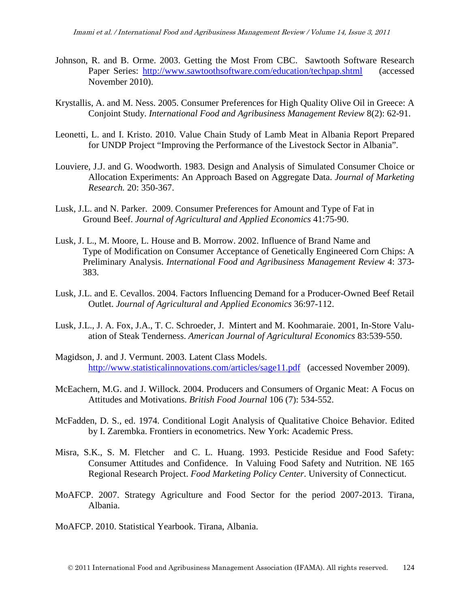- Johnson, R. and B. Orme. 2003. Getting the Most From CBC. Sawtooth Software Research Paper Series: <http://www.sawtoothsoftware.com/education/techpap.shtml>(accessed November 2010).
- Krystallis, A. and M. Ness. 2005. Consumer Preferences for High Quality Olive Oil in Greece: A Conjoint Study. *International Food and Agribusiness Management Review* 8(2): 62-91.
- Leonetti, L. and I. Kristo. 2010. Value Chain Study of Lamb Meat in Albania Report Prepared for UNDP Project "Improving the Performance of the Livestock Sector in Albania".
- Louviere, J.J. and G. Woodworth. 1983. Design and Analysis of Simulated Consumer Choice or Allocation Experiments: An Approach Based on Aggregate Data. *Journal of Marketing Research.* 20: 350-367.
- Lusk, J.L. and N. Parker. 2009. Consumer Preferences for Amount and Type of Fat in Ground Beef. *Journal of Agricultural and Applied Economics* 41:75-90.
- Lusk, J. L., M. Moore, L. House and B. Morrow. 2002. Influence of Brand Name and Type of Modification on Consumer Acceptance of Genetically Engineered Corn Chips: A Preliminary Analysis. *International Food and Agribusiness Management Review* 4: 373- 383.
- Lusk, J.L. and E. Cevallos. 2004. Factors Influencing Demand for a Producer-Owned Beef Retail Outlet. *Journal of Agricultural and Applied Economics* 36:97-112.
- Lusk, J.L., J. A. Fox, J.A., T. C. Schroeder, J. Mintert and M. Koohmaraie. 2001, In-Store Valuation of Steak Tenderness. *American Journal of Agricultural Economics* 83:539-550.
- Magidson, J. and J. Vermunt. 2003. Latent Class Models. <http://www.statisticalinnovations.com/articles/sage11.pdf> (accessed November 2009).
- McEachern, M.G. and J. Willock. 2004. Producers and Consumers of Organic Meat: A Focus on Attitudes and Motivations. *British Food Journal* 106 (7): 534-552.
- McFadden, D. S., ed. 1974. Conditional Logit Analysis of Qualitative Choice Behavior. Edited by I. Zarembka. Frontiers in econometrics. New York: Academic Press.
- Misra, S.K., S. M. Fletcher and C. L. Huang. 1993. Pesticide Residue and Food Safety: Consumer Attitudes and Confidence. In Valuing Food Safety and Nutrition. NE 165 Regional Research Project. *Food Marketing Policy Center*. University of Connecticut.
- MoAFCP. 2007. Strategy Agriculture and Food Sector for the period 2007-2013. Tirana, Albania.
- MoAFCP. 2010. Statistical Yearbook. Tirana, Albania.